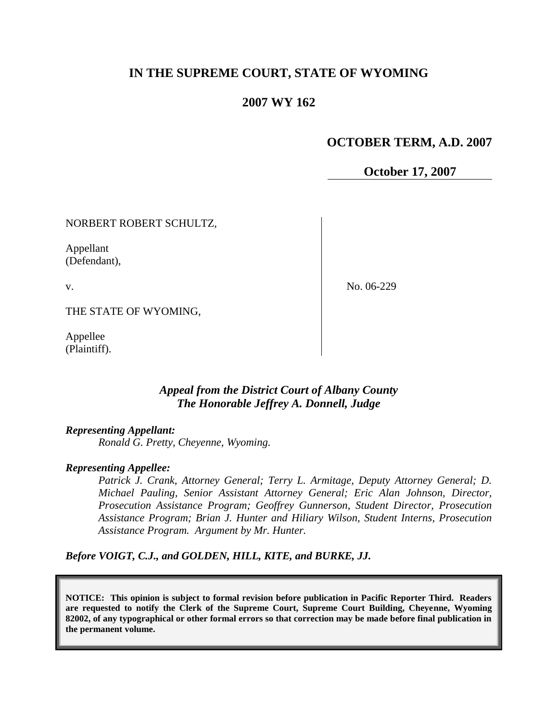# **IN THE SUPREME COURT, STATE OF WYOMING**

## **2007 WY 162**

## **OCTOBER TERM, A.D. 2007**

**October 17, 2007**

NORBERT ROBERT SCHULTZ,

Appellant (Defendant),

v.

No. 06-229

THE STATE OF WYOMING,

Appellee (Plaintiff).

### *Appeal from the District Court of Albany County The Honorable Jeffrey A. Donnell, Judge*

#### *Representing Appellant:*

*Ronald G. Pretty, Cheyenne, Wyoming.*

#### *Representing Appellee:*

*Patrick J. Crank, Attorney General; Terry L. Armitage, Deputy Attorney General; D. Michael Pauling, Senior Assistant Attorney General; Eric Alan Johnson, Director, Prosecution Assistance Program; Geoffrey Gunnerson, Student Director, Prosecution Assistance Program; Brian J. Hunter and Hiliary Wilson, Student Interns, Prosecution Assistance Program. Argument by Mr. Hunter.*

*Before VOIGT, C.J., and GOLDEN, HILL, KITE, and BURKE, JJ.*

**NOTICE: This opinion is subject to formal revision before publication in Pacific Reporter Third. Readers are requested to notify the Clerk of the Supreme Court, Supreme Court Building, Cheyenne, Wyoming 82002, of any typographical or other formal errors so that correction may be made before final publication in the permanent volume.**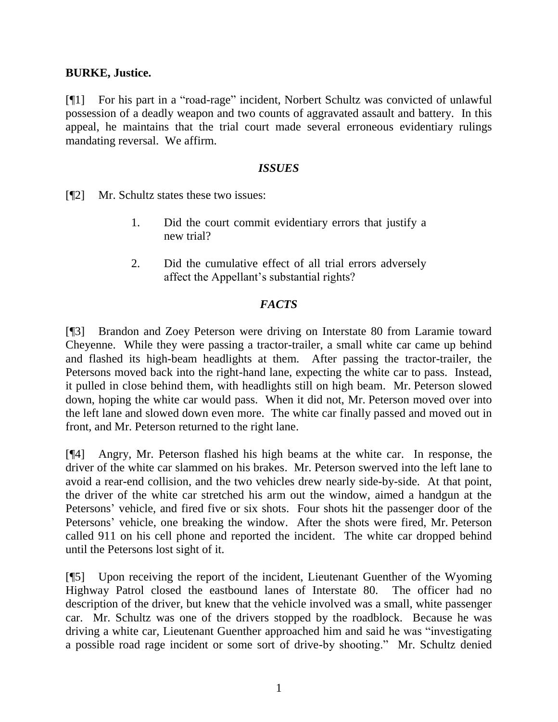### **BURKE, Justice.**

[¶1] For his part in a "road-rage" incident, Norbert Schultz was convicted of unlawful possession of a deadly weapon and two counts of aggravated assault and battery. In this appeal, he maintains that the trial court made several erroneous evidentiary rulings mandating reversal. We affirm.

### *ISSUES*

[¶2] Mr. Schultz states these two issues:

- 1. Did the court commit evidentiary errors that justify a new trial?
- 2. Did the cumulative effect of all trial errors adversely affect the Appellant"s substantial rights?

# *FACTS*

[¶3] Brandon and Zoey Peterson were driving on Interstate 80 from Laramie toward Cheyenne. While they were passing a tractor-trailer, a small white car came up behind and flashed its high-beam headlights at them. After passing the tractor-trailer, the Petersons moved back into the right-hand lane, expecting the white car to pass. Instead, it pulled in close behind them, with headlights still on high beam. Mr. Peterson slowed down, hoping the white car would pass. When it did not, Mr. Peterson moved over into the left lane and slowed down even more. The white car finally passed and moved out in front, and Mr. Peterson returned to the right lane.

[¶4] Angry, Mr. Peterson flashed his high beams at the white car. In response, the driver of the white car slammed on his brakes. Mr. Peterson swerved into the left lane to avoid a rear-end collision, and the two vehicles drew nearly side-by-side. At that point, the driver of the white car stretched his arm out the window, aimed a handgun at the Petersons' vehicle, and fired five or six shots. Four shots hit the passenger door of the Petersons' vehicle, one breaking the window. After the shots were fired, Mr. Peterson called 911 on his cell phone and reported the incident. The white car dropped behind until the Petersons lost sight of it.

[¶5] Upon receiving the report of the incident, Lieutenant Guenther of the Wyoming Highway Patrol closed the eastbound lanes of Interstate 80. The officer had no description of the driver, but knew that the vehicle involved was a small, white passenger car. Mr. Schultz was one of the drivers stopped by the roadblock. Because he was driving a white car, Lieutenant Guenther approached him and said he was "investigating a possible road rage incident or some sort of drive-by shooting." Mr. Schultz denied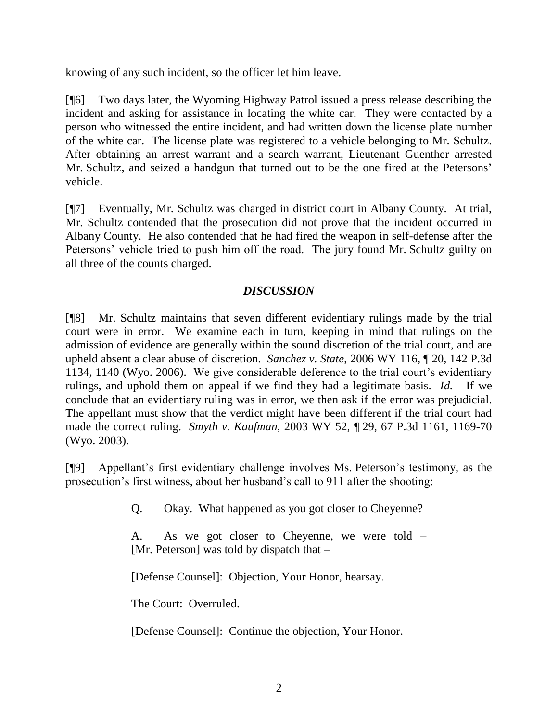knowing of any such incident, so the officer let him leave.

[¶6] Two days later, the Wyoming Highway Patrol issued a press release describing the incident and asking for assistance in locating the white car. They were contacted by a person who witnessed the entire incident, and had written down the license plate number of the white car. The license plate was registered to a vehicle belonging to Mr. Schultz. After obtaining an arrest warrant and a search warrant, Lieutenant Guenther arrested Mr. Schultz, and seized a handgun that turned out to be the one fired at the Petersons' vehicle.

[¶7] Eventually, Mr. Schultz was charged in district court in Albany County. At trial, Mr. Schultz contended that the prosecution did not prove that the incident occurred in Albany County. He also contended that he had fired the weapon in self-defense after the Petersons' vehicle tried to push him off the road. The jury found Mr. Schultz guilty on all three of the counts charged.

# *DISCUSSION*

[¶8] Mr. Schultz maintains that seven different evidentiary rulings made by the trial court were in error. We examine each in turn, keeping in mind that rulings on the admission of evidence are generally within the sound discretion of the trial court, and are upheld absent a clear abuse of discretion. *Sanchez v. State*, 2006 WY 116, ¶ 20, 142 P.3d 1134, 1140 (Wyo. 2006). We give considerable deference to the trial court"s evidentiary rulings, and uphold them on appeal if we find they had a legitimate basis. *Id.* If we conclude that an evidentiary ruling was in error, we then ask if the error was prejudicial. The appellant must show that the verdict might have been different if the trial court had made the correct ruling. *Smyth v. Kaufman*, 2003 WY 52, ¶ 29, 67 P.3d 1161, 1169-70 (Wyo. 2003).

[¶9] Appellant"s first evidentiary challenge involves Ms. Peterson"s testimony, as the prosecution"s first witness, about her husband"s call to 911 after the shooting:

Q. Okay. What happened as you got closer to Cheyenne?

A. As we got closer to Cheyenne, we were told – [Mr. Peterson] was told by dispatch that –

[Defense Counsel]: Objection, Your Honor, hearsay.

The Court: Overruled.

[Defense Counsel]: Continue the objection, Your Honor.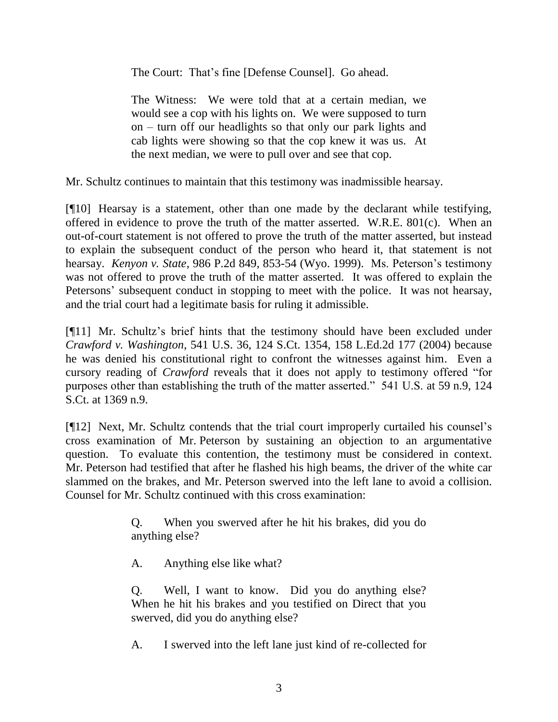The Court: That's fine [Defense Counsel]. Go ahead.

The Witness: We were told that at a certain median, we would see a cop with his lights on. We were supposed to turn on – turn off our headlights so that only our park lights and cab lights were showing so that the cop knew it was us. At the next median, we were to pull over and see that cop.

Mr. Schultz continues to maintain that this testimony was inadmissible hearsay.

[¶10] Hearsay is a statement, other than one made by the declarant while testifying, offered in evidence to prove the truth of the matter asserted. W.R.E. 801(c). When an out-of-court statement is not offered to prove the truth of the matter asserted, but instead to explain the subsequent conduct of the person who heard it, that statement is not hearsay. *Kenyon v. State*, 986 P.2d 849, 853-54 (Wyo. 1999). Ms. Peterson"s testimony was not offered to prove the truth of the matter asserted. It was offered to explain the Petersons' subsequent conduct in stopping to meet with the police. It was not hearsay, and the trial court had a legitimate basis for ruling it admissible.

[¶11] Mr. Schultz"s brief hints that the testimony should have been excluded under *Crawford v. Washington*, 541 U.S. 36, 124 S.Ct. 1354, 158 L.Ed.2d 177 (2004) because he was denied his constitutional right to confront the witnesses against him. Even a cursory reading of *Crawford* reveals that it does not apply to testimony offered "for purposes other than establishing the truth of the matter asserted." 541 U.S. at 59 n.9, 124 S.Ct. at 1369 n.9.

[¶12] Next, Mr. Schultz contends that the trial court improperly curtailed his counsel"s cross examination of Mr. Peterson by sustaining an objection to an argumentative question. To evaluate this contention, the testimony must be considered in context. Mr. Peterson had testified that after he flashed his high beams, the driver of the white car slammed on the brakes, and Mr. Peterson swerved into the left lane to avoid a collision. Counsel for Mr. Schultz continued with this cross examination:

> Q. When you swerved after he hit his brakes, did you do anything else?

A. Anything else like what?

Q. Well, I want to know. Did you do anything else? When he hit his brakes and you testified on Direct that you swerved, did you do anything else?

A. I swerved into the left lane just kind of re-collected for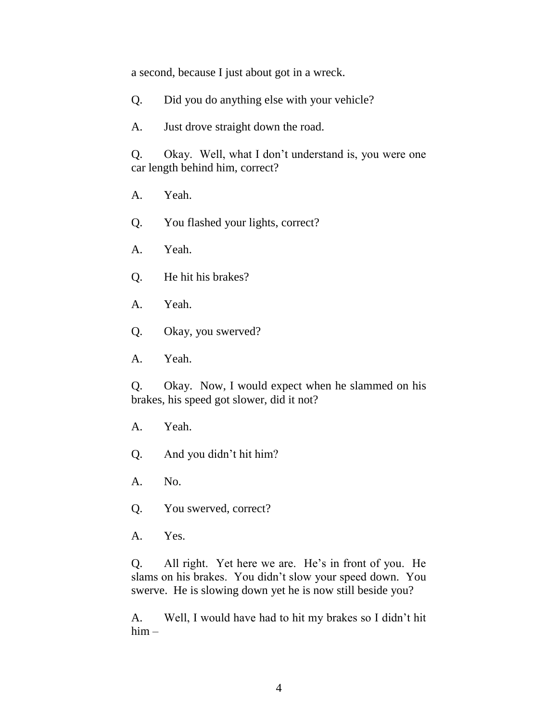a second, because I just about got in a wreck.

Q. Did you do anything else with your vehicle?

A. Just drove straight down the road.

Q. Okay. Well, what I don"t understand is, you were one car length behind him, correct?

A. Yeah.

Q. You flashed your lights, correct?

- A. Yeah.
- Q. He hit his brakes?
- A. Yeah.
- Q. Okay, you swerved?
- A. Yeah.

Q. Okay. Now, I would expect when he slammed on his brakes, his speed got slower, did it not?

- A. Yeah.
- Q. And you didn"t hit him?
- A. No.
- Q. You swerved, correct?
- A. Yes.

Q. All right. Yet here we are. He"s in front of you. He slams on his brakes. You didn"t slow your speed down. You swerve. He is slowing down yet he is now still beside you?

A. Well, I would have had to hit my brakes so I didn"t hit him –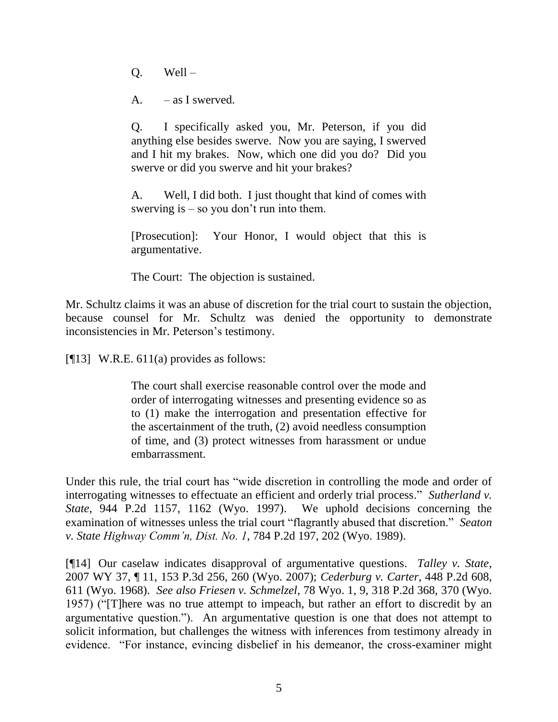Q. Well –

 $A.$  – as I swerved.

Q. I specifically asked you, Mr. Peterson, if you did anything else besides swerve. Now you are saying, I swerved and I hit my brakes. Now, which one did you do? Did you swerve or did you swerve and hit your brakes?

A. Well, I did both. I just thought that kind of comes with swerving is  $-$  so you don't run into them.

[Prosecution]: Your Honor, I would object that this is argumentative.

The Court: The objection is sustained.

Mr. Schultz claims it was an abuse of discretion for the trial court to sustain the objection, because counsel for Mr. Schultz was denied the opportunity to demonstrate inconsistencies in Mr. Peterson's testimony.

[ $[13]$  W.R.E. 611(a) provides as follows:

The court shall exercise reasonable control over the mode and order of interrogating witnesses and presenting evidence so as to (1) make the interrogation and presentation effective for the ascertainment of the truth, (2) avoid needless consumption of time, and (3) protect witnesses from harassment or undue embarrassment.

Under this rule, the trial court has "wide discretion in controlling the mode and order of interrogating witnesses to effectuate an efficient and orderly trial process." *Sutherland v. State*, 944 P.2d 1157, 1162 (Wyo. 1997). We uphold decisions concerning the examination of witnesses unless the trial court "flagrantly abused that discretion." *Seaton v. State Highway Comm'n, Dist. No. 1*, 784 P.2d 197, 202 (Wyo. 1989).

[¶14] Our caselaw indicates disapproval of argumentative questions. *Talley v. State*, 2007 WY 37, ¶ 11, 153 P.3d 256, 260 (Wyo. 2007); *Cederburg v. Carter*, 448 P.2d 608, 611 (Wyo. 1968). *See also Friesen v. Schmelzel*, 78 Wyo. 1, 9, 318 P.2d 368, 370 (Wyo. 1957) ("[T]here was no true attempt to impeach, but rather an effort to discredit by an argumentative question."). An argumentative question is one that does not attempt to solicit information, but challenges the witness with inferences from testimony already in evidence. "For instance, evincing disbelief in his demeanor, the cross-examiner might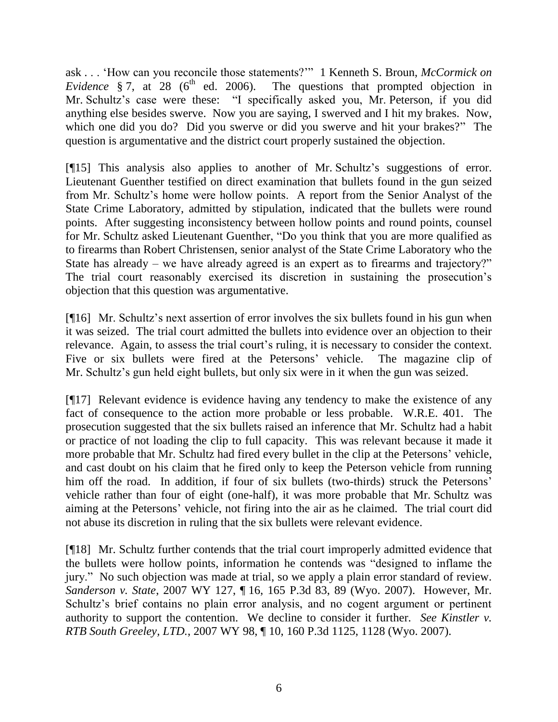ask . . . "How can you reconcile those statements?"" 1 Kenneth S. Broun, *McCormick on Evidence* § 7, at 28 ( $6<sup>th</sup>$  ed. 2006). The questions that prompted objection in Mr. Schultz"s case were these: "I specifically asked you, Mr. Peterson, if you did anything else besides swerve. Now you are saying, I swerved and I hit my brakes. Now, which one did you do? Did you swerve or did you swerve and hit your brakes?" The question is argumentative and the district court properly sustained the objection.

[¶15] This analysis also applies to another of Mr. Schultz's suggestions of error. Lieutenant Guenther testified on direct examination that bullets found in the gun seized from Mr. Schultz"s home were hollow points. A report from the Senior Analyst of the State Crime Laboratory, admitted by stipulation, indicated that the bullets were round points. After suggesting inconsistency between hollow points and round points, counsel for Mr. Schultz asked Lieutenant Guenther, "Do you think that you are more qualified as to firearms than Robert Christensen, senior analyst of the State Crime Laboratory who the State has already – we have already agreed is an expert as to firearms and trajectory?" The trial court reasonably exercised its discretion in sustaining the prosecution"s objection that this question was argumentative.

[¶16] Mr. Schultz"s next assertion of error involves the six bullets found in his gun when it was seized. The trial court admitted the bullets into evidence over an objection to their relevance. Again, to assess the trial court's ruling, it is necessary to consider the context. Five or six bullets were fired at the Petersons' vehicle. The magazine clip of Mr. Schultz's gun held eight bullets, but only six were in it when the gun was seized.

[¶17] Relevant evidence is evidence having any tendency to make the existence of any fact of consequence to the action more probable or less probable. W.R.E. 401. The prosecution suggested that the six bullets raised an inference that Mr. Schultz had a habit or practice of not loading the clip to full capacity. This was relevant because it made it more probable that Mr. Schultz had fired every bullet in the clip at the Petersons' vehicle, and cast doubt on his claim that he fired only to keep the Peterson vehicle from running him off the road. In addition, if four of six bullets (two-thirds) struck the Petersons' vehicle rather than four of eight (one-half), it was more probable that Mr. Schultz was aiming at the Petersons" vehicle, not firing into the air as he claimed. The trial court did not abuse its discretion in ruling that the six bullets were relevant evidence.

[¶18] Mr. Schultz further contends that the trial court improperly admitted evidence that the bullets were hollow points, information he contends was "designed to inflame the jury." No such objection was made at trial, so we apply a plain error standard of review. *Sanderson v. State*, 2007 WY 127, ¶ 16, 165 P.3d 83, 89 (Wyo. 2007). However, Mr. Schultz's brief contains no plain error analysis, and no cogent argument or pertinent authority to support the contention. We decline to consider it further. *See Kinstler v. RTB South Greeley, LTD.*, 2007 WY 98, ¶ 10, 160 P.3d 1125, 1128 (Wyo. 2007).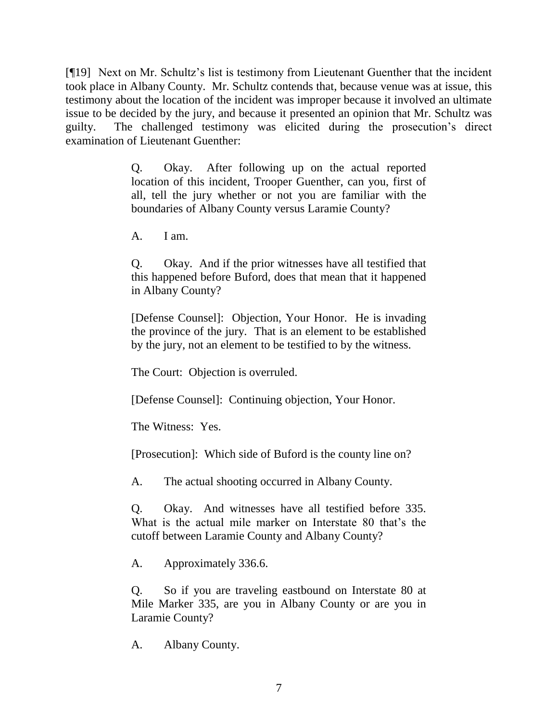[¶19] Next on Mr. Schultz"s list is testimony from Lieutenant Guenther that the incident took place in Albany County. Mr. Schultz contends that, because venue was at issue, this testimony about the location of the incident was improper because it involved an ultimate issue to be decided by the jury, and because it presented an opinion that Mr. Schultz was guilty. The challenged testimony was elicited during the prosecution"s direct examination of Lieutenant Guenther:

> Q. Okay. After following up on the actual reported location of this incident, Trooper Guenther, can you, first of all, tell the jury whether or not you are familiar with the boundaries of Albany County versus Laramie County?

A. I am.

Q. Okay. And if the prior witnesses have all testified that this happened before Buford, does that mean that it happened in Albany County?

[Defense Counsel]: Objection, Your Honor. He is invading the province of the jury. That is an element to be established by the jury, not an element to be testified to by the witness.

The Court: Objection is overruled.

[Defense Counsel]: Continuing objection, Your Honor.

The Witness: Yes.

[Prosecution]: Which side of Buford is the county line on?

A. The actual shooting occurred in Albany County.

Q. Okay. And witnesses have all testified before 335. What is the actual mile marker on Interstate 80 that's the cutoff between Laramie County and Albany County?

A. Approximately 336.6.

Q. So if you are traveling eastbound on Interstate 80 at Mile Marker 335, are you in Albany County or are you in Laramie County?

A. Albany County.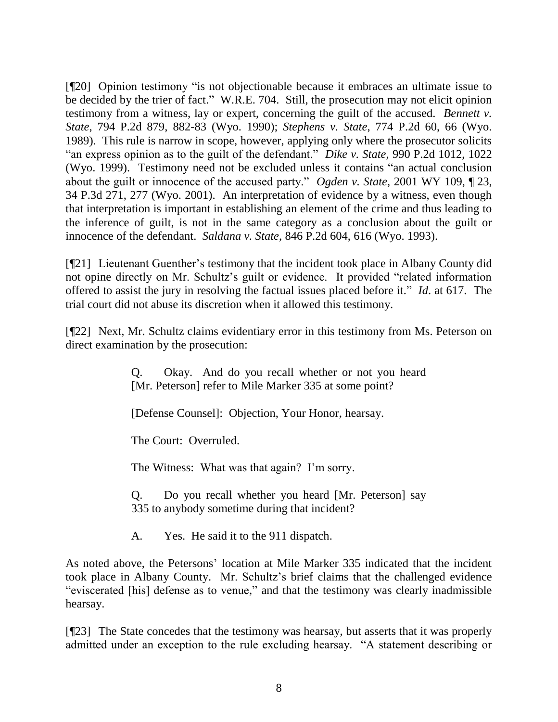[¶20] Opinion testimony "is not objectionable because it embraces an ultimate issue to be decided by the trier of fact." W.R.E. 704. Still, the prosecution may not elicit opinion testimony from a witness, lay or expert, concerning the guilt of the accused. *Bennett v. State*, 794 P.2d 879, 882-83 (Wyo. 1990); *Stephens v. State*, 774 P.2d 60, 66 (Wyo. 1989). This rule is narrow in scope, however, applying only where the prosecutor solicits "an express opinion as to the guilt of the defendant." *Dike v. State*, 990 P.2d 1012, 1022 (Wyo. 1999). Testimony need not be excluded unless it contains "an actual conclusion about the guilt or innocence of the accused party." *Ogden v. State*, 2001 WY 109, ¶ 23, 34 P.3d 271, 277 (Wyo. 2001). An interpretation of evidence by a witness, even though that interpretation is important in establishing an element of the crime and thus leading to the inference of guilt, is not in the same category as a conclusion about the guilt or innocence of the defendant. *Saldana v. State*, 846 P.2d 604, 616 (Wyo. 1993).

[¶21] Lieutenant Guenther"s testimony that the incident took place in Albany County did not opine directly on Mr. Schultz"s guilt or evidence. It provided "related information offered to assist the jury in resolving the factual issues placed before it." *Id*. at 617. The trial court did not abuse its discretion when it allowed this testimony.

[¶22] Next, Mr. Schultz claims evidentiary error in this testimony from Ms. Peterson on direct examination by the prosecution:

> Q. Okay. And do you recall whether or not you heard [Mr. Peterson] refer to Mile Marker 335 at some point?

[Defense Counsel]: Objection, Your Honor, hearsay.

The Court: Overruled.

The Witness: What was that again? I'm sorry.

Q. Do you recall whether you heard [Mr. Peterson] say 335 to anybody sometime during that incident?

A. Yes. He said it to the 911 dispatch.

As noted above, the Petersons" location at Mile Marker 335 indicated that the incident took place in Albany County. Mr. Schultz"s brief claims that the challenged evidence "eviscerated [his] defense as to venue," and that the testimony was clearly inadmissible hearsay.

[¶23] The State concedes that the testimony was hearsay, but asserts that it was properly admitted under an exception to the rule excluding hearsay. "A statement describing or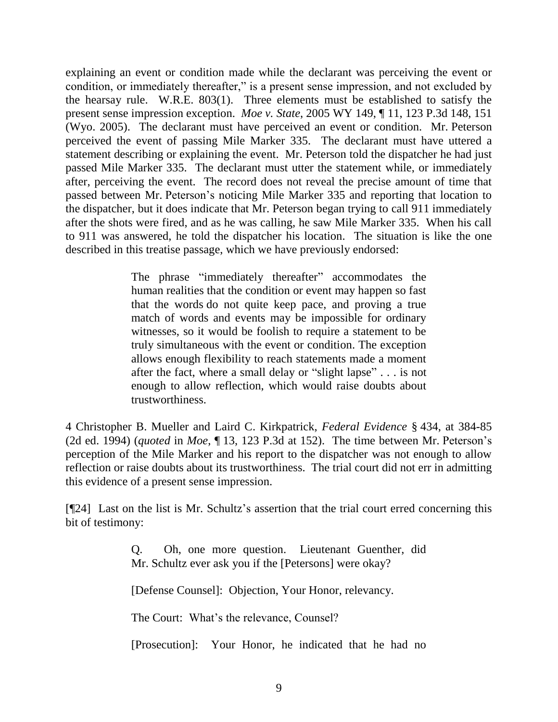explaining an event or condition made while the declarant was perceiving the event or condition, or immediately thereafter," is a present sense impression, and not excluded by the hearsay rule. W.R.E. 803(1). Three elements must be established to satisfy the present sense impression exception. *Moe v. State*, 2005 WY 149, ¶ 11, 123 P.3d 148, 151 (Wyo. 2005). The declarant must have perceived an event or condition. Mr. Peterson perceived the event of passing Mile Marker 335. The declarant must have uttered a statement describing or explaining the event. Mr. Peterson told the dispatcher he had just passed Mile Marker 335. The declarant must utter the statement while, or immediately after, perceiving the event. The record does not reveal the precise amount of time that passed between Mr. Peterson"s noticing Mile Marker 335 and reporting that location to the dispatcher, but it does indicate that Mr. Peterson began trying to call 911 immediately after the shots were fired, and as he was calling, he saw Mile Marker 335. When his call to 911 was answered, he told the dispatcher his location. The situation is like the one described in this treatise passage, which we have previously endorsed:

> The phrase "immediately thereafter" accommodates the human realities that the condition or event may happen so fast that the words do not quite keep pace, and proving a true match of words and events may be impossible for ordinary witnesses, so it would be foolish to require a statement to be truly simultaneous with the event or condition. The exception allows enough flexibility to reach statements made a moment after the fact, where a small delay or "slight lapse" . . . is not enough to allow reflection, which would raise doubts about trustworthiness.

4 Christopher B. Mueller and Laird C. Kirkpatrick, *Federal Evidence* § 434, at 384-85 (2d ed. 1994) (*quoted* in *Moe*, ¶ 13, 123 P.3d at 152). The time between Mr. Peterson"s perception of the Mile Marker and his report to the dispatcher was not enough to allow reflection or raise doubts about its trustworthiness. The trial court did not err in admitting this evidence of a present sense impression.

[¶24] Last on the list is Mr. Schultz"s assertion that the trial court erred concerning this bit of testimony:

> Q. Oh, one more question. Lieutenant Guenther, did Mr. Schultz ever ask you if the [Petersons] were okay?

[Defense Counsel]: Objection, Your Honor, relevancy.

The Court: What's the relevance, Counsel?

[Prosecution]: Your Honor, he indicated that he had no